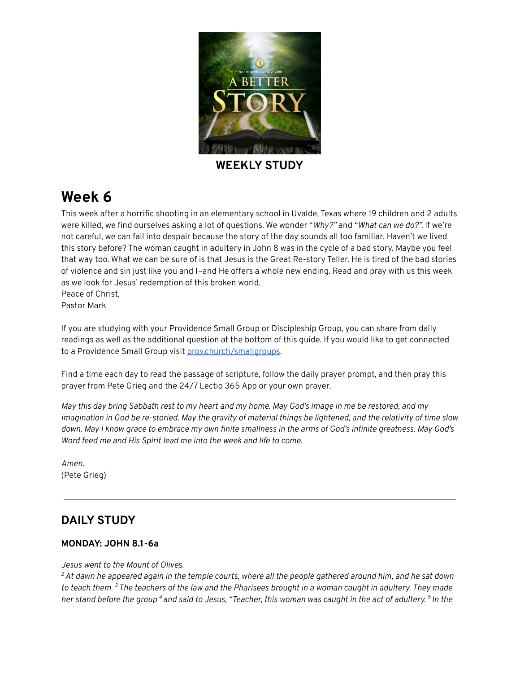

**WEEKLY STUDY**

# **Week 6**

This week after a horrific shooting in an elementary school in Uvalde, Texas where 19 children and 2 adults were killed, we find ourselves asking a lot of questions. We wonder "*Why?"* and "*What can we do?".* If we're not careful, we can fall into despair because the story of the day sounds all too familiar. Haven't we lived this story before? The woman caught in adultery in John 8 was in the cycle of a bad story. Maybe you feel that way too. What we can be sure of is that Jesus is the Great Re-story Teller. He is tired of the bad stories of violence and sin just like you and I–and He offers a whole new ending. Read and pray with us this week as we look for Jesus' redemption of this broken world. Peace of Christ, Pastor Mark

If you are studying with your Providence Small Group or Discipleship Group, you can share from daily readings as well as the additional question at the bottom of this guide. If you would like to get connected to a Providence Small Group visit [prov.church/smallgroups.](https://prov.church/ministries/adults/)

Find a time each day to read the passage of scripture, follow the daily prayer prompt, and then pray this prayer from Pete Grieg and the 24/7 Lectio 365 App or your own prayer.

May this day bring Sabbath rest to my heart and my home. May God's image in me be restored, and my imagination in God be re-storied. May the gravity of material things be lightened, and the relativity of time slow down. May I know grace to embrace my own finite smallness in the arms of God's infinite greatness. May God's *Word feed me and His Spirit lead me into the week and life to come.*

*Amen.* (Pete Grieg)

# **DAILY STUDY**

#### **MONDAY: JOHN 8.1-6a**

#### *Jesus went to the Mount of Olives.*

 ${}^{2}$  At dawn he appeared again in the temple courts, where all the people gathered around him, and he sat down to teach them. <sup>3</sup> The teachers of the law and the Pharisees brought in a woman caught in adultery. They made her stand before the group <sup>4</sup> and said to Jesus, "Teacher, this woman was caught in the act of adultery. <sup>5</sup> In the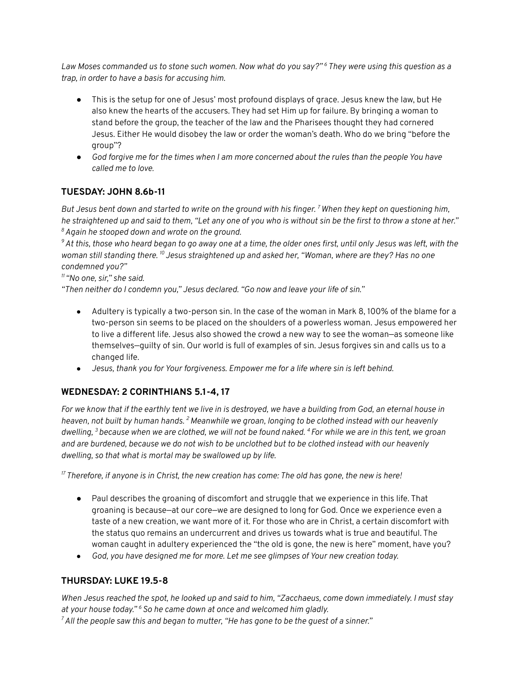Law Moses commanded us to stone such women. Now what do you say?" <sup>6</sup> They were using this question as a *trap, in order to have a basis for accusing him.*

- *●* This is the setup for one of Jesus' most profound displays of grace. Jesus knew the law, but He also knew the hearts of the accusers. They had set Him up for failure. By bringing a woman to stand before the group, the teacher of the law and the Pharisees thought they had cornered Jesus. Either He would disobey the law or order the woman's death. Who do we bring "before the group"?
- God forgive me for the times when I am more concerned about the rules than the people You have *called me to love.*

### **TUESDAY: JOHN 8.6b-11**

But Jesus bent down and started to write on the ground with his finger.  $^7$  When they kept on questioning him, he straightened up and said to them, "Let any one of you who is without sin be the first to throw a stone at her." *<sup>8</sup>Again he stooped down and wrote on the ground.*

<sup>9</sup> At this, those who heard began to go away one at a time, the older ones first, until only Jesus was left, with the woman still standing there. <sup>10</sup> Jesus straightened up and asked her, "Woman, where are they? Has no one *condemned you?"*

#### *<sup>11</sup> "No one, sir," she said.*

*"Then neither do I condemn you," Jesus declared. "Go now and leave your life of sin."*

- *●* Adultery is typically a two-person sin. In the case of the woman in Mark 8, 100% of the blame for a two-person sin seems to be placed on the shoulders of a powerless woman. Jesus empowered her to live a different life. Jesus also showed the crowd a new way to see the woman—as someone like themselves—guilty of sin. Our world is full of examples of sin. Jesus forgives sin and calls us to a changed life.
- *● Jesus, thank you for Your forgiveness. Empower me for a life where sin is left behind.*

#### **WEDNESDAY: 2 CORINTHIANS 5.1-4, 17**

For we know that if the earthly tent we live in is destroyed, we have a building from God, an eternal house in heaven, not built by human hands. <sup>2</sup> Meanwhile we groan, longing to be clothed instead with our heavenly dwelling,  $^3$  because when we are clothed, we will not be found naked.  $^4$  For while we are in this tent, we groan and are burdened, because we do not wish to be unclothed but to be clothed instead with our heavenly *dwelling, so that what is mortal may be swallowed up by life.*

 $^{17}$  Therefore, if anyone is in Christ, the new creation has come: The old has gone, the new is here!

- Paul describes the groaning of discomfort and struggle that we experience in this life. That groaning is because—at our core—we are designed to long for God. Once we experience even a taste of a new creation, we want more of it. For those who are in Christ, a certain discomfort with the status quo remains an undercurrent and drives us towards what is true and beautiful. The woman caught in adultery experienced the "the old is gone, the new is here" moment, have you?
- *● God, you have designed me for more. Let me see glimpses of Your new creation today.*

#### **THURSDAY: LUKE 19.5-8**

When Jesus reached the spot, he looked up and said to him, "Zacchaeus, come down immediately. I must stay *at your house today." <sup>6</sup>So he came down at once and welcomed him gladly.*

 $^7$  All the people saw this and began to mutter, "He has gone to be the guest of a sinner."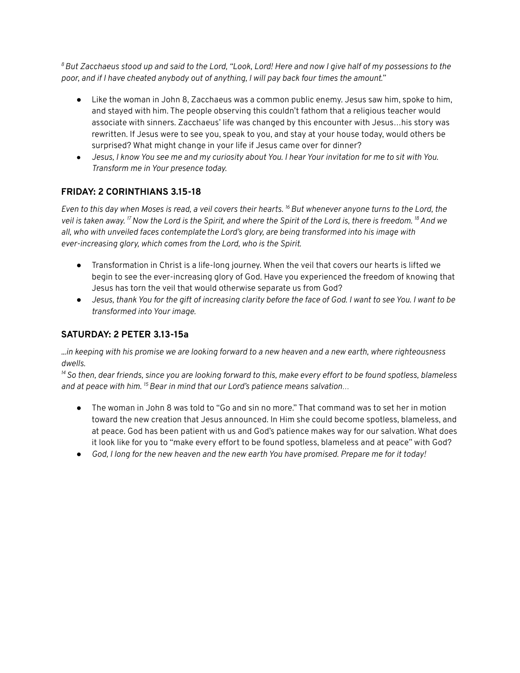<sup>8</sup> But Zacchaeus stood up and said to the Lord, "Look, Lord! Here and now I give half of my possessions to the *poor, and if I have cheated anybody out of anything, I will pay back four times the amount."*

- Like the woman in John 8, Zacchaeus was a common public enemy. Jesus saw him, spoke to him, and stayed with him. The people observing this couldn't fathom that a religious teacher would associate with sinners. Zacchaeus' life was changed by this encounter with Jesus…his story was rewritten. If Jesus were to see you, speak to you, and stay at your house today, would others be surprised? What might change in your life if Jesus came over for dinner?
- Jesus, I know You see me and my curiosity about You. I hear Your invitation for me to sit with You. *Transform me in Your presence today.*

## **FRIDAY: 2 CORINTHIANS 3.15-18**

Even to this day when Moses is read, a veil covers their hearts. <sup>16</sup> But whenever anyone turns to the Lord, the veil is taken away. <sup>17</sup> Now the Lord is the Spirit, and where the Spirit of the Lord is, there is freedom. <sup>18</sup> And we *all, who with unveiled faces contemplate the Lord's glory, are being transformed into his image with ever-increasing glory, which comes from the Lord, who is the Spirit.*

- *●* Transformation in Christ is a life-long journey. When the veil that covers our hearts is lifted we begin to see the ever-increasing glory of God. Have you experienced the freedom of knowing that Jesus has torn the veil that would otherwise separate us from God?
- Jesus, thank You for the gift of increasing clarity before the face of God. I want to see You. I want to be *transformed into Your image.*

### **SATURDAY: 2 PETER 3.13-15a**

in keeping with his promise we are looking forward to a new heaven and a new earth, where righteousness... *dwells.*

<sup>14</sup> So then, dear friends, since you are looking forward to this, make every effort to be found spotless, blameless *and at peace with him. <sup>15</sup>Bear in mind that our Lord's patience means salvation…*

- The woman in John 8 was told to "Go and sin no more." That command was to set her in motion toward the new creation that Jesus announced. In Him she could become spotless, blameless, and at peace. God has been patient with us and God's patience makes way for our salvation. What does it look like for you to "make every effort to be found spotless, blameless and at peace" with God?
- God, I long for the new heaven and the new earth You have promised. Prepare me for it today!